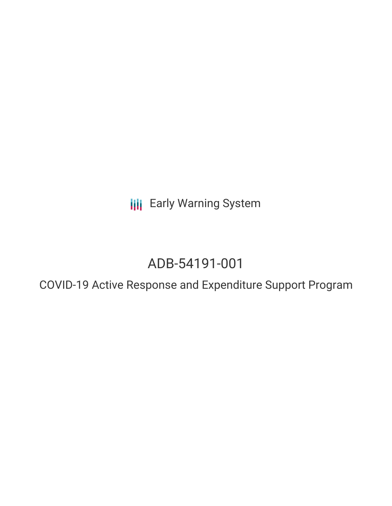**III** Early Warning System

# ADB-54191-001

COVID-19 Active Response and Expenditure Support Program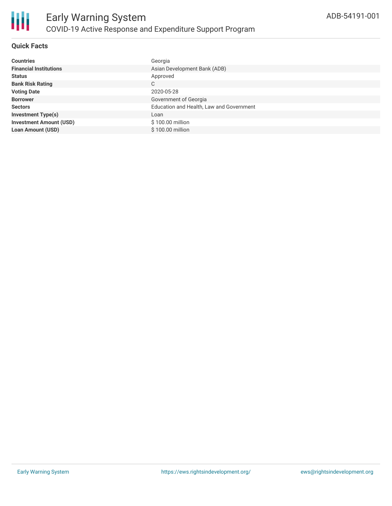

## **Quick Facts**

| <b>Countries</b>               | Georgia                                  |
|--------------------------------|------------------------------------------|
| <b>Financial Institutions</b>  | Asian Development Bank (ADB)             |
| <b>Status</b>                  | Approved                                 |
| <b>Bank Risk Rating</b>        | C                                        |
| <b>Voting Date</b>             | 2020-05-28                               |
| <b>Borrower</b>                | Government of Georgia                    |
| <b>Sectors</b>                 | Education and Health, Law and Government |
| <b>Investment Type(s)</b>      | Loan                                     |
| <b>Investment Amount (USD)</b> | \$100.00 million                         |
| <b>Loan Amount (USD)</b>       | $$100.00$ million                        |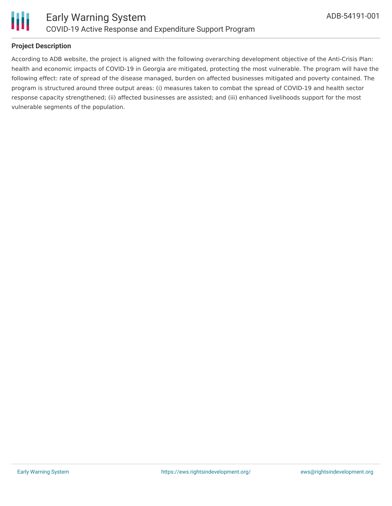

## **Project Description**

According to ADB website, the project is aligned with the following overarching development objective of the Anti-Crisis Plan: health and economic impacts of COVID-19 in Georgia are mitigated, protecting the most vulnerable. The program will have the following effect: rate of spread of the disease managed, burden on affected businesses mitigated and poverty contained. The program is structured around three output areas: (i) measures taken to combat the spread of COVID-19 and health sector response capacity strengthened; (ii) affected businesses are assisted; and (iii) enhanced livelihoods support for the most vulnerable segments of the population.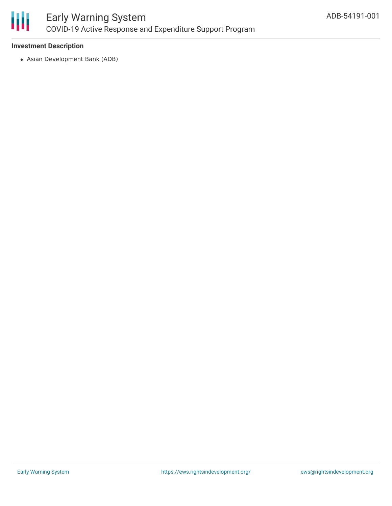

## **Investment Description**

Asian Development Bank (ADB)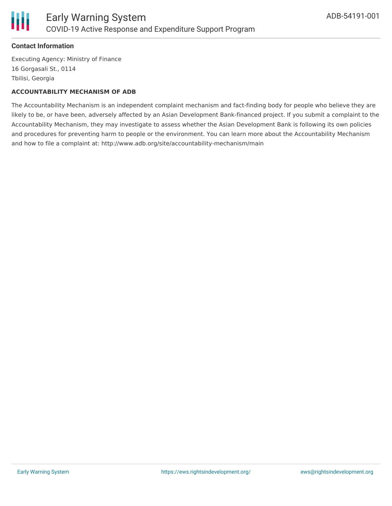

#### **Contact Information**

Executing Agency: Ministry of Finance 16 Gorgasali St., 0114 Tbilisi, Georgia

#### **ACCOUNTABILITY MECHANISM OF ADB**

The Accountability Mechanism is an independent complaint mechanism and fact-finding body for people who believe they are likely to be, or have been, adversely affected by an Asian Development Bank-financed project. If you submit a complaint to the Accountability Mechanism, they may investigate to assess whether the Asian Development Bank is following its own policies and procedures for preventing harm to people or the environment. You can learn more about the Accountability Mechanism and how to file a complaint at: http://www.adb.org/site/accountability-mechanism/main